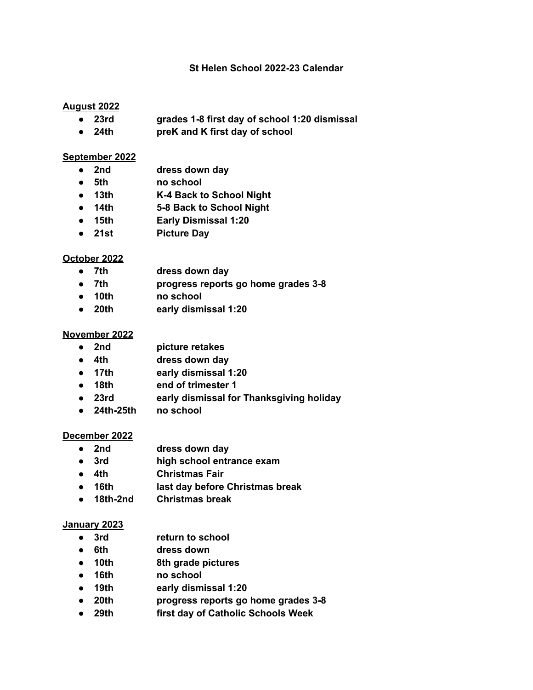### **St Helen School 2022-23 Calendar**

## **August 2022**

- **● 23rd grades 1-8 first day of school 1:20 dismissal**
- **● 24th preK and K first day of school**

### **September 2022**

- **● 2nd dress down day**
- **● 5th no school**
- **● 13th K-4 Back to School Night**
- **● 14th 5-8 Back to School Night**
- **● 15th Early Dismissal 1:20**
- **● 21st Picture Day**

### **October 2022**

- **● 7th dress down day**
- **● 7th progress reports go home grades 3-8**
- **● 10th no school**
- **● 20th early dismissal 1:20**

#### **November 2022**

- **● 2nd picture retakes**
- **● 4th dress down day**
- **● 17th early dismissal 1:20**
- **● 18th end of trimester 1**
- **● 23rd early dismissal for Thanksgiving holiday**
- **● 24th-25th no school**

#### **December 2022**

- **● 2nd dress down day**
- **● 3rd high school entrance exam**
- **● 4th Christmas Fair**
- **● 16th last day before Christmas break**
- **● 18th-2nd Christmas break**

#### **January 2023**

- **● 3rd return to school**
- **● 6th dress down**
- **● 10th 8th grade pictures**
- **● 16th no school**
- **● 19th early dismissal 1:20**
- **● 20th progress reports go home grades 3-8**
- **● 29th first day of Catholic Schools Week**